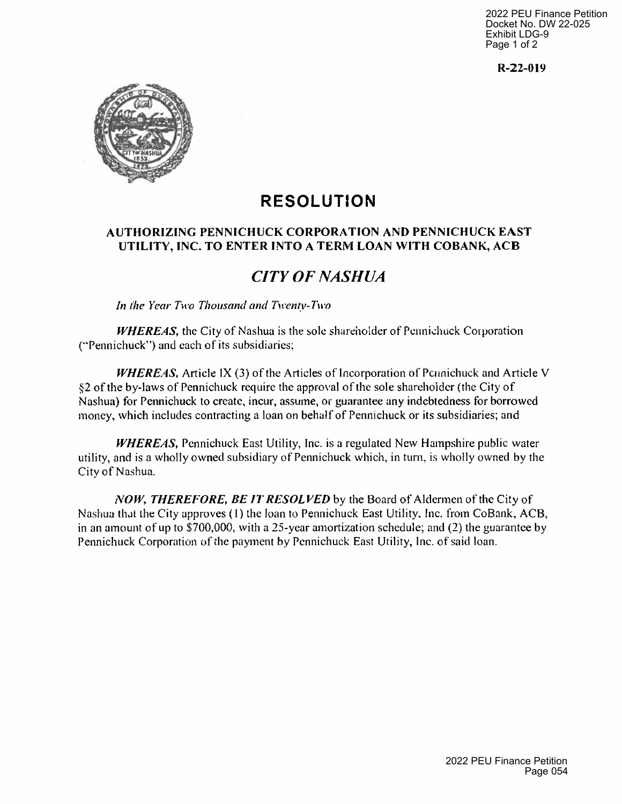2022 PEU Finance Petition Docket No. DW 22-025 Exhibit LDG-9 Page 1 of 2

**R-22-019** 



# **RESOLUTION**

#### **AUTHORIZING PENNICHUCK CORPORATION AND PENNICHUCK EAST UTILITY, INC. TO ENTER INTO A TERM LOAN WITH COBANK, ACB**

## *CITY OF NASHUA*

*In the Year Two Thousand and Twenty-Two* 

*WHEREAS,* the City of Nashua is the sole shareholder of Pennichuck Corporation ("Pennichuck") and each of its subsidiaries;

**WHEREAS**, Article IX (3) of the Articles of Incorporation of Pennichuck and Article V §2 of the by-laws of Pennichuck require the approval of the sole shareholder (the City of Nashua) for Pennichuck to create, incur, assume, or guarantee any indebtedness for borrowed money, which includes contracting a loan on behalf of Pennichuck or its subsidiaries; and

*WHEREAS,* Pennichuck East Utility, Inc. is a regulated New Hampshire public water utility, and is a wholly owned subsidiary of Pennichuck which, in turn, is wholly owned by the City of Nashua.

*NOW, THEREFORE, BE IT RESOLVED* by the Board of Aldermen of the City of Nashua that the City approves (I) the loan to Pennichuck East Utility, Inc. from CoBank, ACB, in an amount of up to \$700,000, with a 25-year amortization schedule; and (2) the guarantee by Pennichuck Corporation of the payment by Pennichuck East Utility, Inc. of said loan.